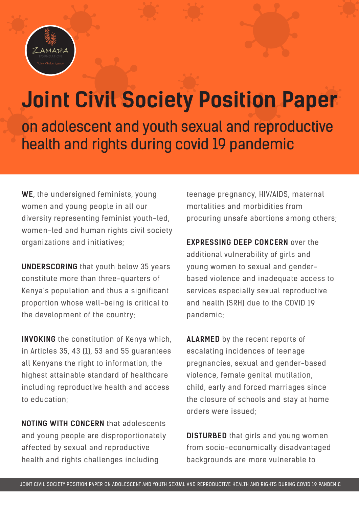

## **Joint Civil Society Position Paper**

on adolescent and youth sexual and reproductive health and rights during covid 19 pandemic

**WE**, the undersigned feminists, young women and young people in all our diversity representing feminist youth-led, women-led and human rights civil society organizations and initiatives;

**UNDERSCORING** that youth below 35 years constitute more than three-quarters of Kenya's population and thus a significant proportion whose well-being is critical to the development of the country;

**INVOKING** the constitution of Kenya which, in Articles 35, 43 (1), 53 and 55 guarantees all Kenyans the right to information, the highest attainable standard of healthcare including reproductive health and access to education;

**NOTING WITH CONCERN** that adolescents and young people are disproportionately affected by sexual and reproductive health and rights challenges including

teenage pregnancy, HIV/AIDS, maternal mortalities and morbidities from procuring unsafe abortions among others;

**EXPRESSING DEEP CONCERN over the** additional vulnerability of girls and young women to sexual and genderbased violence and inadequate access to services especially sexual reproductive and health (SRH) due to the COVID 19 pandemic;

**ALARMED** by the recent reports of escalating incidences of teenage pregnancies, sexual and gender-based violence, female genital mutilation, child, early and forced marriages since the closure of schools and stay at home orders were issued;

**DISTURBED** that girls and young women from socio-economically disadvantaged backgrounds are more vulnerable to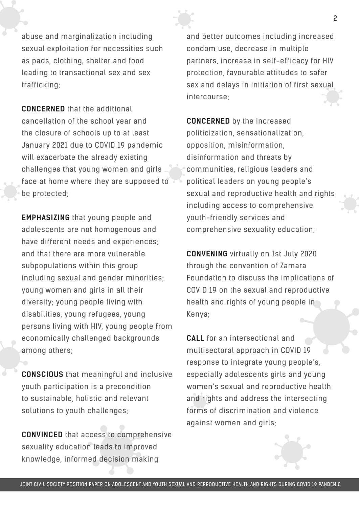

abuse and marginalization including sexual exploitation for necessities such as pads, clothing, shelter and food leading to transactional sex and sex trafficking;

**CONCERNED** that the additional cancellation of the school year and the closure of schools up to at least January 2021 due to COVID 19 pandemic will exacerbate the already existing challenges that young women and girls face at home where they are supposed to be protected;

**EMPHASIZING** that young people and adolescents are not homogenous and have different needs and experiences; and that there are more vulnerable subpopulations within this group including sexual and gender minorities; young women and girls in all their diversity; young people living with disabilities, young refugees, young persons living with HIV, young people from economically challenged backgrounds among others;

**CONSCIOUS** that meaningful and inclusive youth participation is a precondition to sustainable, holistic and relevant solutions to youth challenges;

**CONVINCED** that access to comprehensive sexuality education leads to improved knowledge, informed decision making

and better outcomes including increased condom use, decrease in multiple partners, increase in self-efficacy for HIV protection, favourable attitudes to safer sex and delays in initiation of first sexual intercourse;

**CONCERNED** by the increased politicization, sensationalization, opposition, misinformation, disinformation and threats by communities, religious leaders and political leaders on young people's sexual and reproductive health and rights including access to comprehensive youth-friendly services and comprehensive sexuality education;

**CONVENING** virtually on 1st July 2020 through the convention of Zamara Foundation to discuss the implications of COVID 19 on the sexual and reproductive health and rights of young people in Kenya;

**CALL** for an intersectional and multisectoral approach in COVID 19 response to integrate young people's, especially adolescents girls and young women's sexual and reproductive health and rights and address the intersecting forms of discrimination and violence against women and girls;

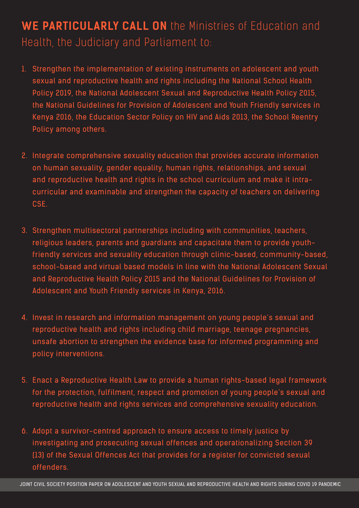## **WE PARTICULARLY CALL ON** the Ministries of Education and Health, the Judiciary and Parliament to:

- 1. Strengthen the implementation of existing instruments on adolescent and youth sexual and reproductive health and rights including the National School Health Policy 2019, the National Adolescent Sexual and Reproductive Health Policy 2015, the National Guidelines for Provision of Adolescent and Youth Friendly services in Kenya 2016, the Education Sector Policy on HIV and Aids 2013, the School Reentry Policy among others.
- 2. Integrate comprehensive sexuality education that provides accurate information on human sexuality, gender equality, human rights, relationships, and sexual and reproductive health and rights in the school curriculum and make it intracurricular and examinable and strengthen the capacity of teachers on delivering CSE.
- 3. Strengthen multisectoral partnerships including with communities, teachers, religious leaders, parents and guardians and capacitate them to provide youthfriendly services and sexuality education through clinic-based, community-based, school-based and virtual based models in line with the National Adolescent Sexual and Reproductive Health Policy 2015 and the National Guidelines for Provision of Adolescent and Youth Friendly services in Kenya, 2016.
- 4. Invest in research and information management on young people's sexual and reproductive health and rights including child marriage, teenage pregnancies, unsafe abortion to strengthen the evidence base for informed programming and policy interventions.
- 5. Enact a Reproductive Health Law to provide a human rights-based legal framework for the protection, fulfilment, respect and promotion of young people's sexual and reproductive health and rights services and comprehensive sexuality education.
- 6. Adopt a survivor-centred approach to ensure access to timely justice by investigating and prosecuting sexual offences and operationalizing Section 39 (13) of the Sexual Offences Act that provides for a register for convicted sexual offenders.